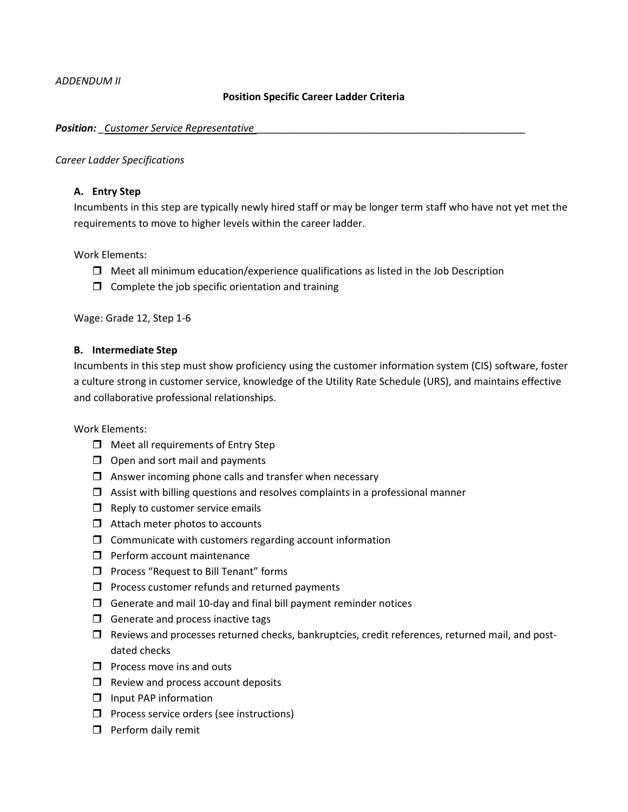*ADDENDUM II*

## **Position Specific Career Ladder Criteria**

### *Position: \_Customer Service Representative \_\_\_\_\_\_\_\_\_\_\_\_\_\_\_\_\_\_\_\_\_\_\_\_\_\_\_\_\_\_\_\_\_\_\_\_\_\_\_\_\_\_\_\_\_\_\_\_*

#### *Career Ladder Specifications*

# **A. Entry Step**

Incumbents in this step are typically newly hired staff or may be longer term staff who have not yet met the requirements to move to higher levels within the career ladder.

Work Elements:

- $\Box$  Meet all minimum education/experience qualifications as listed in the Job Description
- $\Box$  Complete the job specific orientation and training

Wage: Grade 12, Step 1-6

### **B. Intermediate Step**

Incumbents in this step must show proficiency using the customer information system (CIS) software, foster a culture strong in customer service, knowledge of the Utility Rate Schedule (URS), and maintains effective and collaborative professional relationships.

Work Elements:

- $\Box$  Meet all requirements of Entry Step
- $\Box$  Open and sort mail and payments
- $\Box$  Answer incoming phone calls and transfer when necessary
- $\Box$  Assist with billing questions and resolves complaints in a professional manner
- $\Box$  Reply to customer service emails
- $\Box$  Attach meter photos to accounts
- $\Box$  Communicate with customers regarding account information
- **Perform account maintenance**
- $\Box$  Process "Request to Bill Tenant" forms
- $\Box$  Process customer refunds and returned payments
- $\Box$  Generate and mail 10-day and final bill payment reminder notices
- $\Box$  Generate and process inactive tags
- $\Box$  Reviews and processes returned checks, bankruptcies, credit references, returned mail, and postdated checks
- $\Box$  Process move ins and outs
- $\Box$  Review and process account deposits
- **I** Input PAP information
- $\Box$  Process service orders (see instructions)
- $\Box$  Perform daily remit